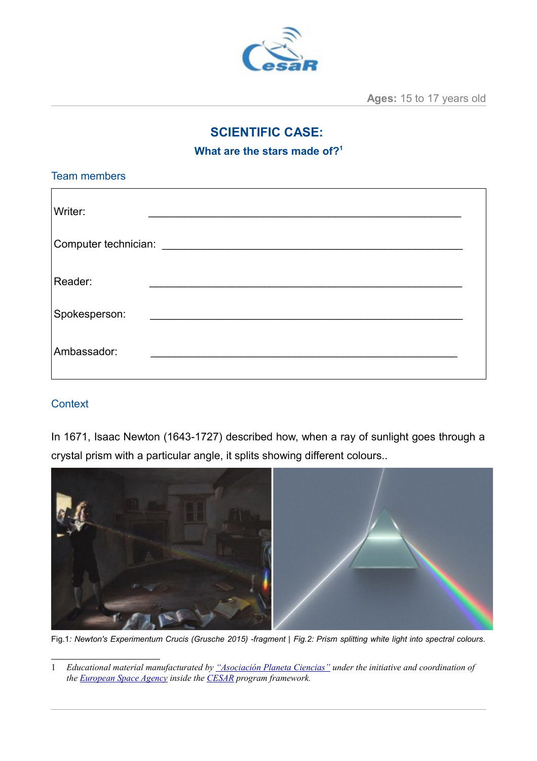

**Ages:** 15 to 17 years old

## **SCIENTIFIC CASE:**

**What are the stars made of?[1](#page-0-0)**

| <b>Team members</b> |                                       |  |
|---------------------|---------------------------------------|--|
| Writer:             |                                       |  |
|                     | Computer technician: ________________ |  |
| Reader:             |                                       |  |
| Spokesperson:       |                                       |  |
| Ambassador:         |                                       |  |

#### **Context**

In 1671, Isaac Newton (1643-1727) described how, when a ray of sunlight goes through a crystal prism with a particular angle, it splits showing different colours..



Fig.1*: Newton's Experimentum Crucis (Grusche 2015) -fragment | Fig.2: Prism splitting white light into spectral colours.*

<span id="page-0-0"></span><sup>1</sup> *Educational material manufacturated by ["Asociación Planeta Ciencias"](http://planetaciencias.es/) under the initiative and coordination of the [European Space Agency](https://www.esa.int/) inside the [CESAR](http://cesar.esa.int/) program framework.*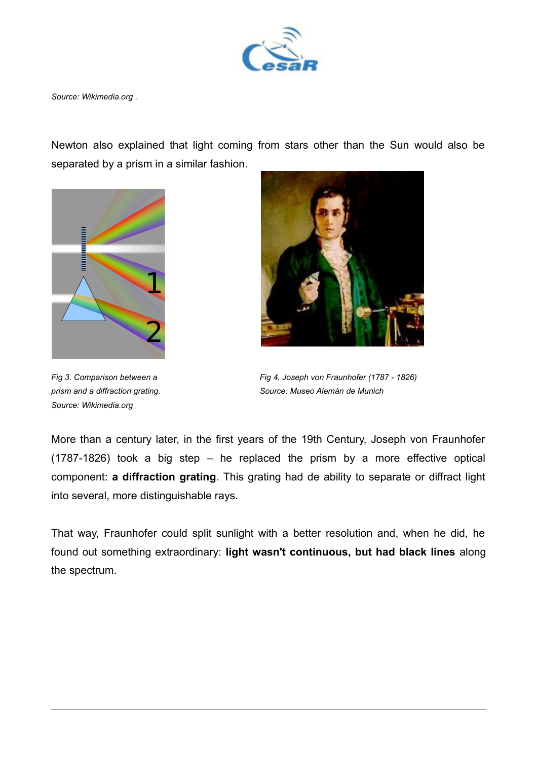

*Source: Wikimedia.org .*

Newton also explained that light coming from stars other than the Sun would also be separated by a prism in a similar fashion.



*Source: Wikimedia.org*



*Fig 3. Comparison between a Fig 4. Joseph von Fraunhofer (1787 - 1826) prism and a diffraction grating. Source: Museo Alemán de Munich*

More than a century later, in the first years of the 19th Century, Joseph von Fraunhofer (1787-1826) took a big step – he replaced the prism by a more effective optical component: **a diffraction grating**. This grating had de ability to separate or diffract light into several, more distinguishable rays.

That way, Fraunhofer could split sunlight with a better resolution and, when he did, he found out something extraordinary: **light wasn't continuous, but had black lines** along the spectrum.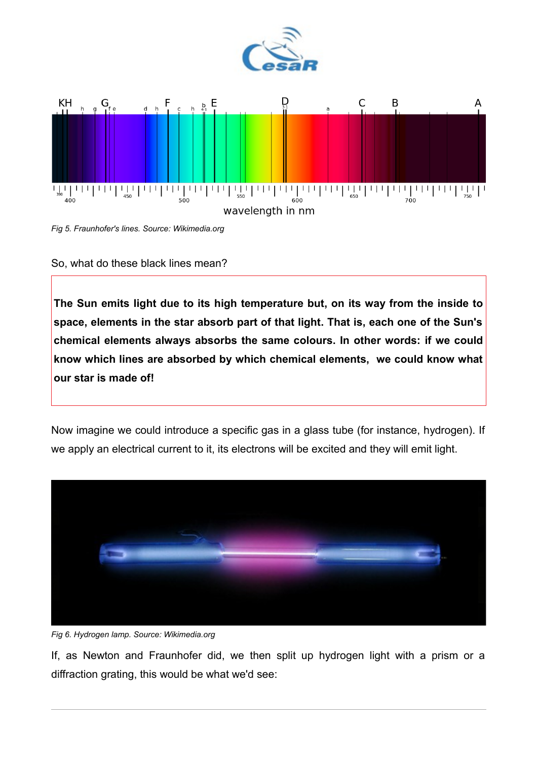







**The Sun emits light due to its high temperature but, on its way from the inside to space, elements in the star absorb part of that light. That is, each one of the Sun's chemical elements always absorbs the same colours. In other words: if we could know which lines are absorbed by which chemical elements, we could know what our star is made of!**

Now imagine we could introduce a specific gas in a glass tube (for instance, hydrogen). If we apply an electrical current to it, its electrons will be excited and they will emit light.





If, as Newton and Fraunhofer did, we then split up hydrogen light with a prism or a diffraction grating, this would be what we'd see: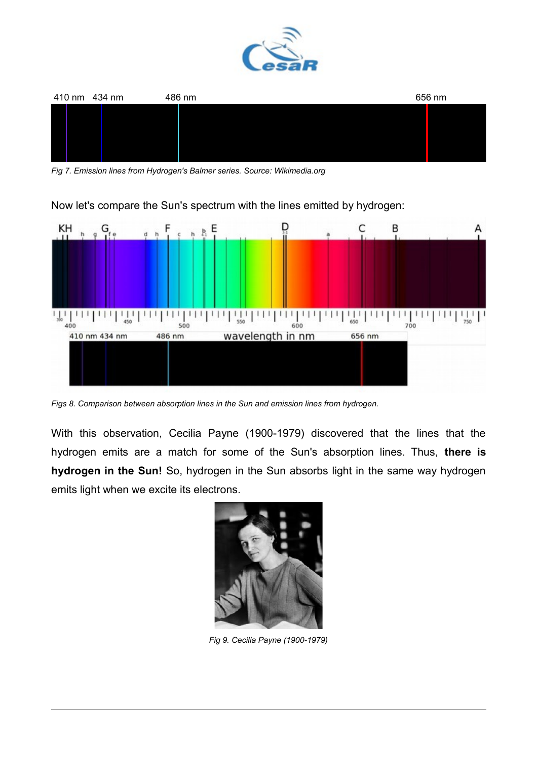



*Fig 7. Emission lines from Hydrogen's Balmer series. Source: Wikimedia.org*

Now let's compare the Sun's spectrum with the lines emitted by hydrogen:



*Figs 8. Comparison between absorption lines in the Sun and emission lines from hydrogen.*

With this observation, Cecilia Payne (1900-1979) discovered that the lines that the hydrogen emits are a match for some of the Sun's absorption lines. Thus, **there is hydrogen in the Sun!** So, hydrogen in the Sun absorbs light in the same way hydrogen emits light when we excite its electrons.



*Fig 9. Cecilia Payne (1900-1979)*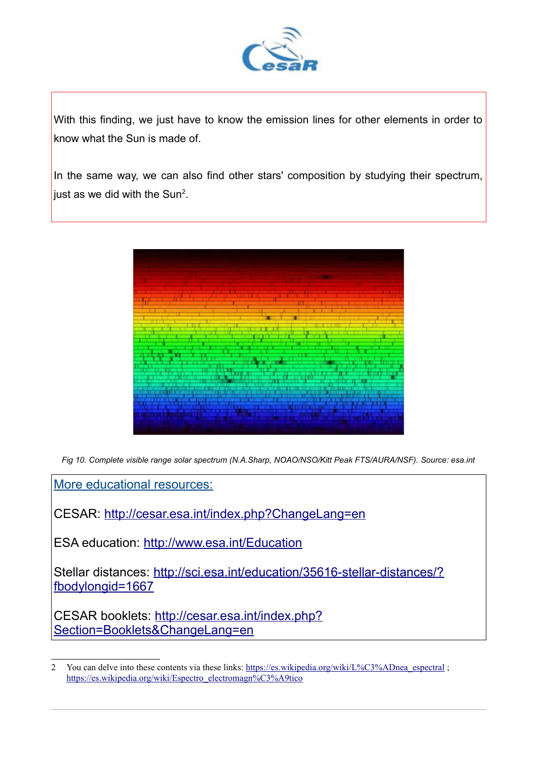

With this finding, we just have to know the emission lines for other elements in order to know what the Sun is made of.

In the same way, we can also find other stars' composition by studying their spectrum, just as we did with the Sun<sup>[2](#page-4-0)</sup>.



*Fig 10. Complete visible range solar spectrum (N.A.Sharp, NOAO/NSO/Kitt Peak FTS/AURA/NSF). Source: esa.int*

More educational resources:

CESAR:<http://cesar.esa.int/index.php?ChangeLang=en>

ESA education:<http://www.esa.int/Education>

Stellar distances: [http://sci.esa.int/education/35616-stellar-distances/?](http://sci.esa.int/education/35616-stellar-distances/?fbodylongid=1667) [fbodylongid=1667](http://sci.esa.int/education/35616-stellar-distances/?fbodylongid=1667)

CESAR booklets: [http://cesar.esa.int/index.php?](http://cesar.esa.int/index.php?Section=Booklets&ChangeLang=en) [Section=Booklets&ChangeLang=en](http://cesar.esa.int/index.php?Section=Booklets&ChangeLang=en)

<span id="page-4-0"></span><sup>2</sup> You can delve into these contents via these links: [https://es.wikipedia.org/wiki/L%C3%ADnea\\_espectral](https://es.wikipedia.org/wiki/L%C3%ADnea_espectral) ; [https://es.wikipedia.org/wiki/Espectro\\_electromagn%C3%A9tico](https://es.wikipedia.org/wiki/Espectro_electromagn%C3%A9tico)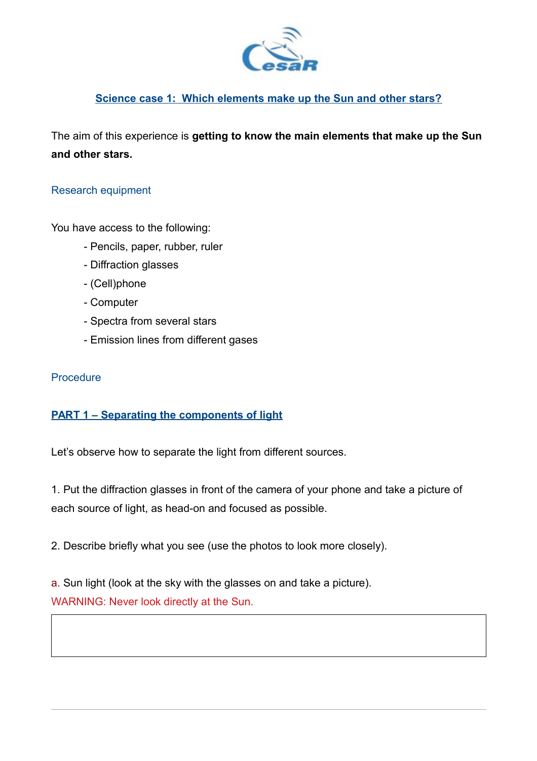

#### **Science case 1: Which elements make up the Sun and other stars?**

The aim of this experience is **getting to know the main elements that make up the Sun and other stars.**

#### Research equipment

You have access to the following:

- Pencils, paper, rubber, ruler
- Diffraction glasses
- (Cell)phone
- Computer
- Spectra from several stars
- Emission lines from different gases

#### **Procedure**

## **PART 1 – Separating the components of light**

Let's observe how to separate the light from different sources.

1. Put the diffraction glasses in front of the camera of your phone and take a picture of each source of light, as head-on and focused as possible.

2. Describe briefly what you see (use the photos to look more closely).

a. Sun light (look at the sky with the glasses on and take a picture). WARNING: Never look directly at the Sun.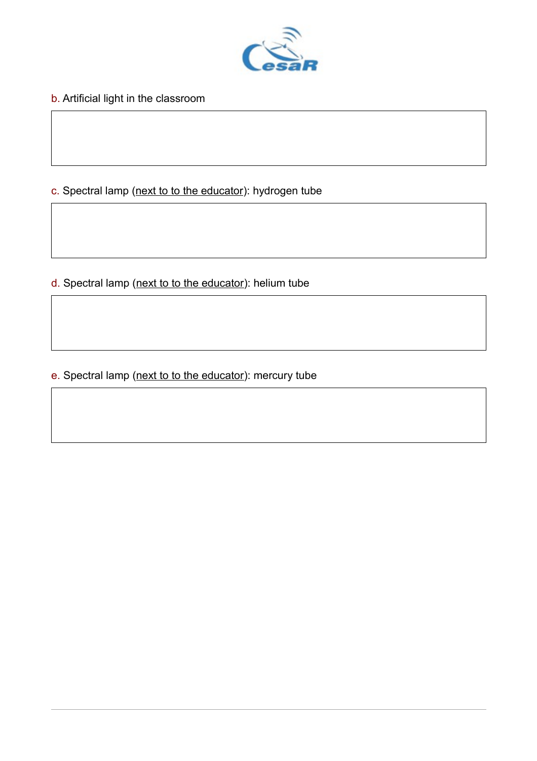

b. Artificial light in the classroom

## c. Spectral lamp (next to to the educator): hydrogen tube

d. Spectral lamp (next to to the educator): helium tube

e. Spectral lamp (next to to the educator): mercury tube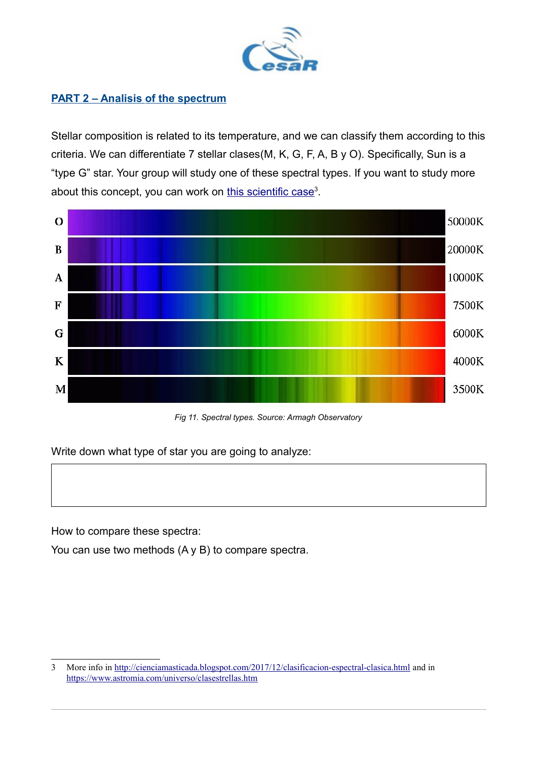

## **PART 2 – Analisis of the spectrum**

Stellar composition is related to its temperature, and we can classify them according to this criteria. We can differentiate 7 stellar clases(M, K, G, F, A, B y O). Specifically, Sun is a "type G" star. Your group will study one of these spectral types. If you want to study more about this concept, you can work on this scientific case<sup>[3](#page-7-0)</sup>.



*Fig 11. Spectral types. Source: Armagh Observatory*

Write down what type of star you are going to analyze:

How to compare these spectra:

You can use two methods (A y B) to compare spectra.

<span id="page-7-0"></span><sup>3</sup> More info in<http://cienciamasticada.blogspot.com/2017/12/clasificacion-espectral-clasica.html>and in <https://www.astromia.com/universo/clasestrellas.htm>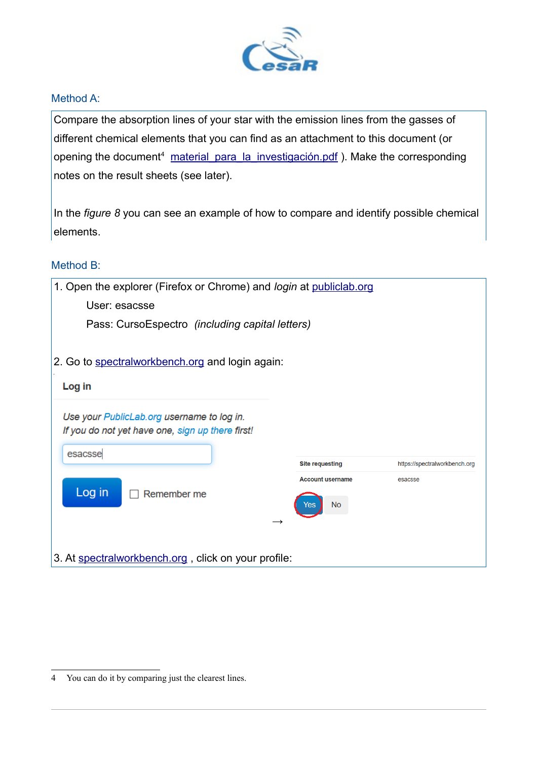

#### Method A:

Compare the absorption lines of your star with the emission lines from the gasses of different chemical elements that you can find as an attachment to this document (or opening the document<sup>[4](#page-8-0)</sup> material para la investigación.pdf). Make the corresponding notes on the result sheets (see later).

In the *figure 8* you can see an example of how to compare and identify possible chemical elements.

#### Method B:

| 1. Open the explorer (Firefox or Chrome) and <i>login</i> at publiclab.org                     |                         |                               |  |  |
|------------------------------------------------------------------------------------------------|-------------------------|-------------------------------|--|--|
| User: esacsse                                                                                  |                         |                               |  |  |
| Pass: CursoEspectro (including capital letters)                                                |                         |                               |  |  |
| 2. Go to spectralworkbench.org and login again:                                                |                         |                               |  |  |
|                                                                                                |                         |                               |  |  |
| Log in                                                                                         |                         |                               |  |  |
| Use your PublicLab.org username to log in.<br>If you do not yet have one, sign up there first! |                         |                               |  |  |
| esacsse                                                                                        | <b>Site requesting</b>  | https://spectralworkbench.org |  |  |
|                                                                                                | <b>Account username</b> | esacsse                       |  |  |
| Log in<br>Remember me                                                                          | No                      |                               |  |  |
|                                                                                                |                         |                               |  |  |
| 3. At spectralworkbench.org, click on your profile:                                            |                         |                               |  |  |

<span id="page-8-0"></span><sup>4</sup> You can do it by comparing just the clearest lines.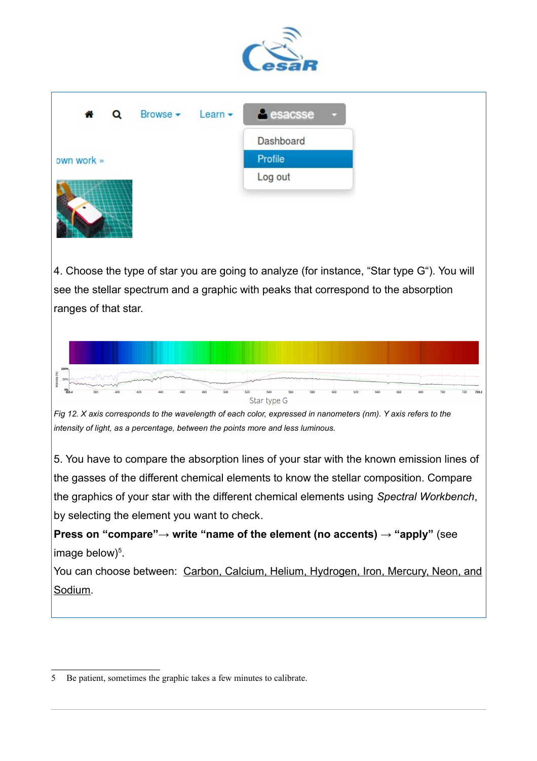

| 合          | $\alpha$ | Browse $\bullet$ Learn $\bullet$ | <b>A</b> esacsse<br>$\sim$ |
|------------|----------|----------------------------------|----------------------------|
|            |          |                                  | Dashboard                  |
| own work » |          |                                  | Profile                    |
|            |          |                                  | Log out                    |
|            |          |                                  |                            |

4. Choose the type of star you are going to analyze (for instance, "Star type G"). You will see the stellar spectrum and a graphic with peaks that correspond to the absorption ranges of that star.





5. You have to compare the absorption lines of your star with the known emission lines of the gasses of the different chemical elements to know the stellar composition. Compare the graphics of your star with the different chemical elements using *Spectral Workbench*, by selecting the element you want to check.

**Press on "compare"→ write "name of the element (no accents) → "apply"** (see image below $)^5$  $)^5$ .

You can choose between: Carbon, Calcium, Helium, Hydrogen, Iron, Mercury, Neon, and Sodium.

<span id="page-9-0"></span><sup>5</sup> Be patient, sometimes the graphic takes a few minutes to calibrate.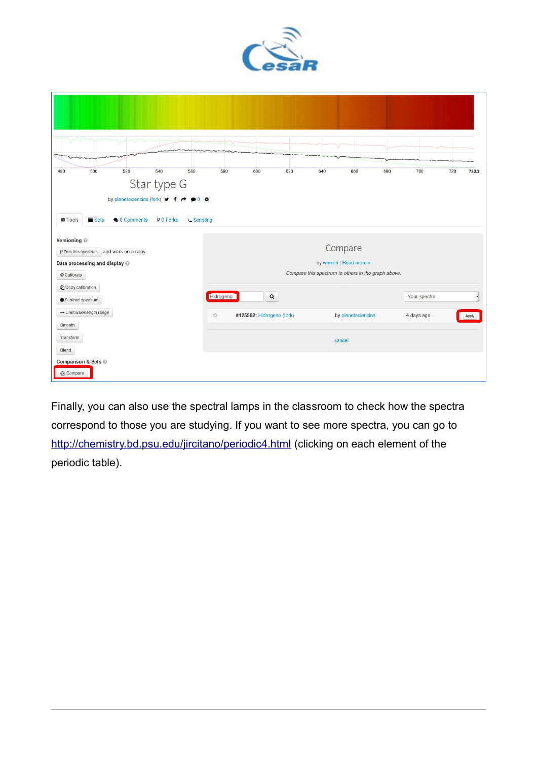

| 500<br>520<br>540<br>480<br>560                                                     | 580                                                 | 600<br>620                | 640 | 660                | 680 | 700          | 720 | 733.3 |
|-------------------------------------------------------------------------------------|-----------------------------------------------------|---------------------------|-----|--------------------|-----|--------------|-----|-------|
| Star type G                                                                         |                                                     |                           |     |                    |     |              |     |       |
| by planetaciencias (fork) $\vee$ f $\rightarrow$ $\circ$ 0 $\circ$                  |                                                     |                           |     |                    |     |              |     |       |
| <b>Q</b> 0 Comments<br>>_ Scripting<br><b>D</b> Tools<br>$\equiv$ Sets<br>P 0 Forks |                                                     |                           |     |                    |     |              |     |       |
| Versioning @<br>Compare                                                             |                                                     |                           |     |                    |     |              |     |       |
| P Fork this spectrum and work on a copy                                             | by warren   Read more »                             |                           |     |                    |     |              |     |       |
| Data processing and display @<br>$\triangle$ Calibrate                              | Compare this spectrum to others in the graph above. |                           |     |                    |     |              |     |       |
| <sup>2</sup> Copy calibration                                                       |                                                     |                           |     |                    |     |              |     |       |
| Subtract spectrum                                                                   | Hidrogeno                                           | $\alpha$                  |     |                    |     | Your spectra |     |       |
| - Limit wavelength range                                                            | ☆                                                   | #125562: Hidrogeno (fork) |     | by planetaciencias |     | 4 days ago   |     | Apply |
| Smooth                                                                              |                                                     |                           |     |                    |     |              |     |       |
| Transform                                                                           |                                                     |                           |     | cancel             |     |              |     |       |
| Blend                                                                               |                                                     |                           |     |                    |     |              |     |       |
| Comparison & Sets @<br>Compare                                                      |                                                     |                           |     |                    |     |              |     |       |
|                                                                                     |                                                     |                           |     |                    |     |              |     |       |

Finally, you can also use the spectral lamps in the classroom to check how the spectra correspond to those you are studying. If you want to see more spectra, you can go to <http://chemistry.bd.psu.edu/jircitano/periodic4.html>(clicking on each element of the periodic table).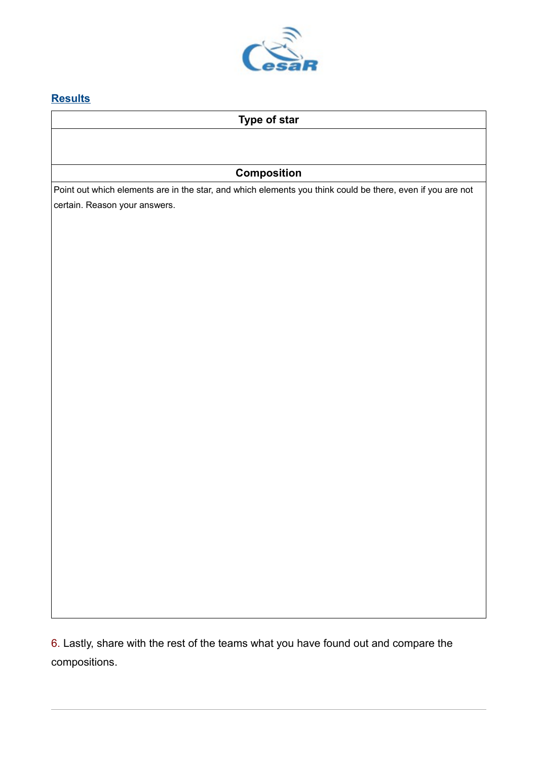

## **Results**

## **Type of star**

## **Composition**

Point out which elements are in the star, and which elements you think could be there, even if you are not certain. Reason your answers.

6. Lastly, share with the rest of the teams what you have found out and compare the compositions.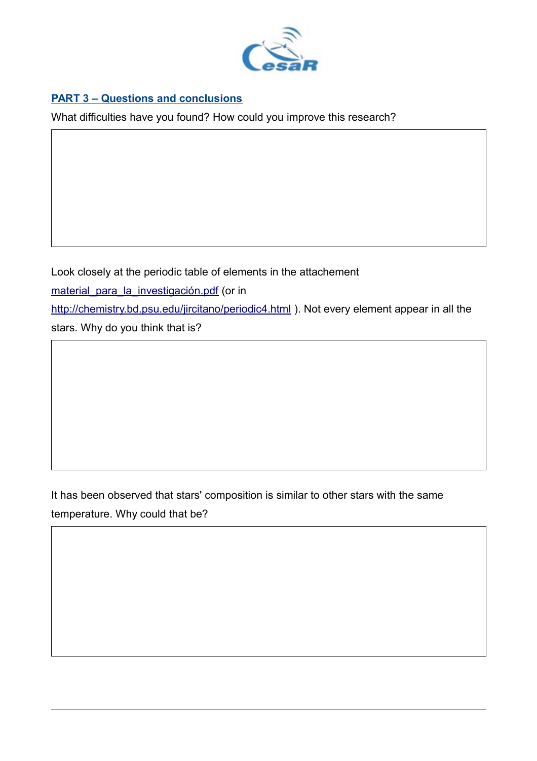

## **PART 3 – Questions and conclusions**

What difficulties have you found? How could you improve this research?

Look closely at the periodic table of elements in the attachement material para la investigación.pdf (or in <http://chemistry.bd.psu.edu/jircitano/periodic4.html>). Not every element appear in all the stars. Why do you think that is?

## It has been observed that stars' composition is similar to other stars with the same temperature. Why could that be?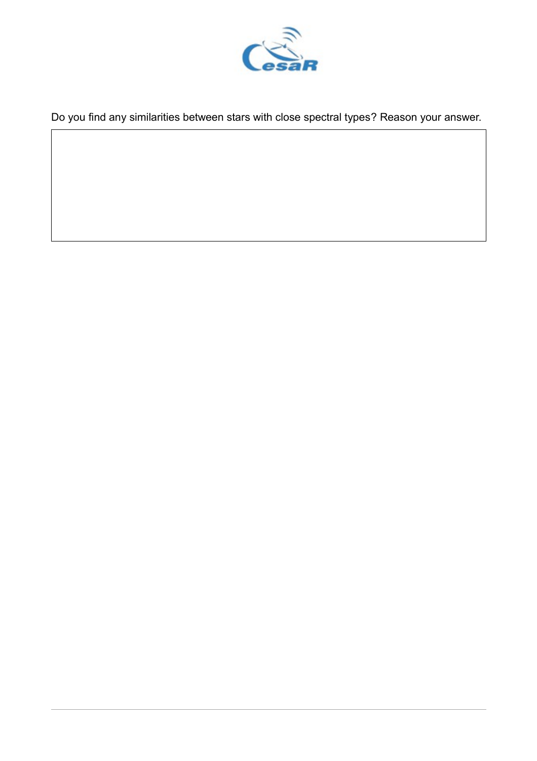

Do you find any similarities between stars with close spectral types? Reason your answer.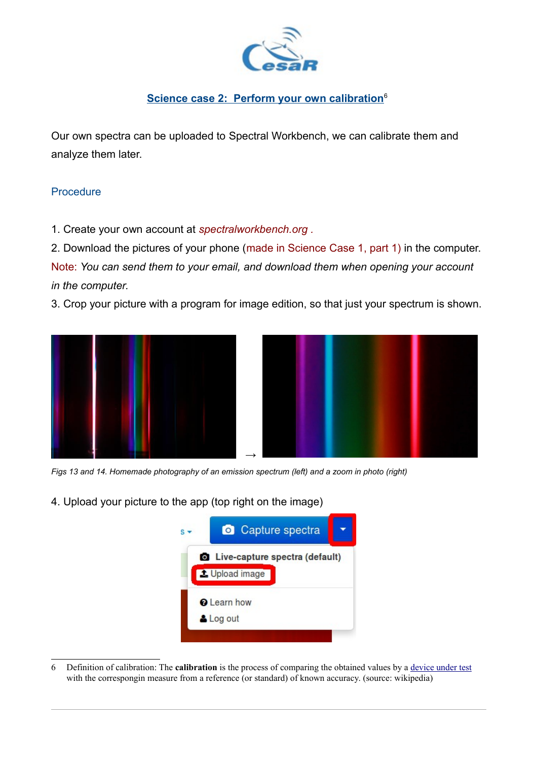

## **Science case 2: Perform your own calibration**<sup>[6](#page-14-0)</sup>

Our own spectra can be uploaded to Spectral Workbench, we can calibrate them and analyze them later.

#### **Procedure**

1. Create your own account at *spectralworkbench.org .* 

2. Download the pictures of your phone (made in Science Case 1, part 1) in the computer.

Note: *You can send them to your email, and download them when opening your account in the computer.*

3. Crop your picture with a program for image edition, so that just your spectrum is shown.





*Figs 13 and 14. Homemade photography of an emission spectrum (left) and a zoom in photo (right)*

4. Upload your picture to the app (top right on the image)

<span id="page-14-0"></span>

<sup>6</sup> Definition of calibration: The **calibration** is the process of comparing the obtained values by a [device under test](https://en.wikipedia.org/wiki/Device_under_test) with the correspongin measure from a reference (or standard) of known accuracy. (source: wikipedia)